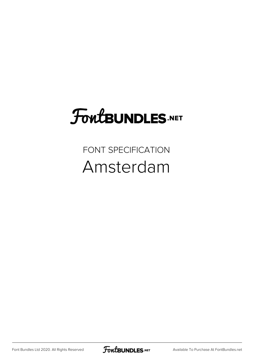## FoutBUNDLES.NET

FONT SPECIFICATION Amsterdam

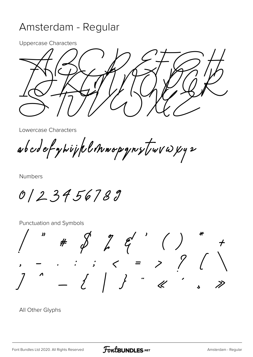## Amsterdam - Regular

Uppercase Characters

 $\frac{1}{\sqrt{2}}$ IJKLININOP  $\rightarrow$  177//  $\alpha$  )  $\gamma$ 

Lowercase Characters

abcdefyhijklmnopgrytwvwy2

Numbers

0123456789

Punctuation and Symbols

 $"$  #  $\oint$   $\int$   $\int$   $\int$   $\int$   $($   $)$ , - . : ; < = > ? [ \ ] ^ \_ { | } ¨ « ´ ¸ »

All Other Glyphs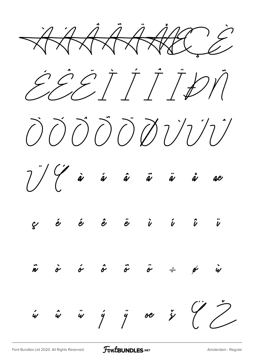XXXXXXXXX EEËTTDIN  $\bigcirc$   $\bigcirc$   $\bigcirc$   $\bigcirc$   $\bigcirc$   $\bigcirc$   $\bigcirc$   $\bigcirc$   $\bigcirc$   $\bigcirc$  $7$  )  $\frac{7}{4}$  à á â ã ä ä å ae  $\vec{n}$   $\dot{\sigma}$   $\dot{\sigma}$   $\vec{\sigma}$   $\ddot{\sigma}$   $\dot{\sigma}$   $\dot{\sigma}$   $\dot{\sigma}$   $\dot{\sigma}$   $\dot{\omega}$  $\begin{array}{ccccc}\n\begin{array}{ccc}\n\dot{w} & \hat{w} & \hat{y} & \hat{y} & \hat{w} & \hat{y} & \hat{y}\n\end{array}\n\end{array}$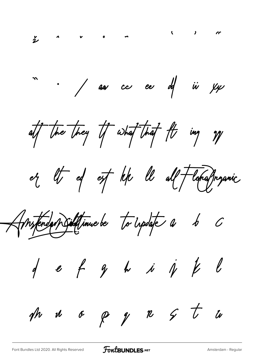$\sum_{i=1}^{n}$ " . / aar cc eer df iir yyr att the they if what that fts ing gy or the ed off left the all florangemic Anstendan Siditfinue be to update a b C  $d$  e f g h i  $j$   $k$   $l$ the manuscript of  $\beta$  of  $\beta$   $\beta$   $\gamma$   $\tau$   $\omega$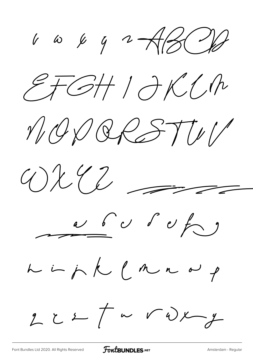$\frac{1}{\sqrt{2}}$  to  $\frac{1}{\sqrt{2}}$  and  $\frac{1}{\sqrt{2}}$  $ETGH1JKCh$ NODRESTUV  $W^{2}2 = 7$  $\alpha$  b  $\alpha$  d  $\beta$  for  $\beta$ L in j K L M n a p  $2c+1\sim\sqrt{\omega x}y$